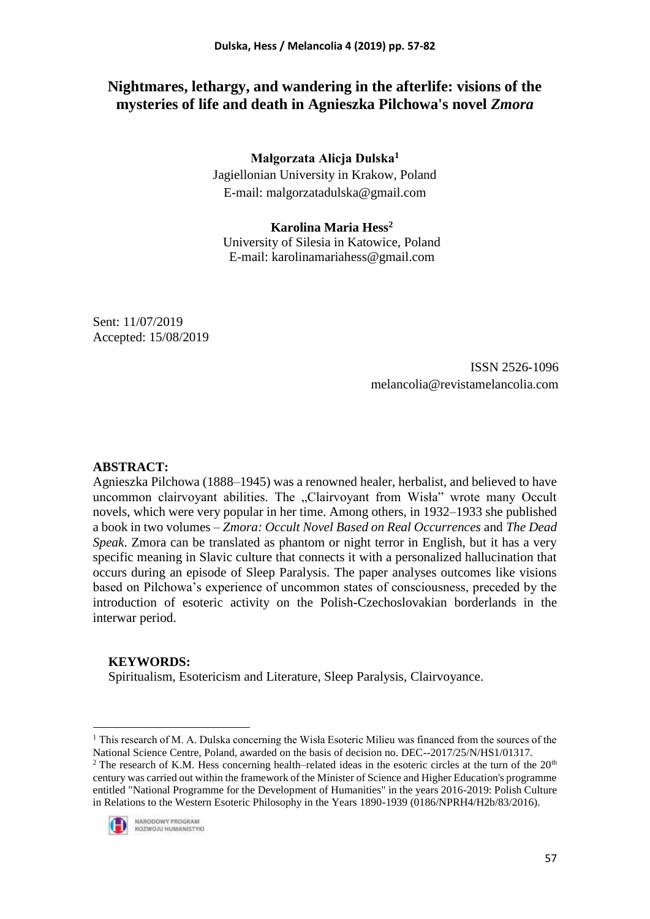# **Nightmares, lethargy, and wandering in the afterlife: visions of the mysteries of life and death in Agnieszka Pilchowa's novel** *Zmora*

**Małgorzata Alicja Dulska<sup>1</sup>**

Jagiellonian University in Krakow, Poland E-mail: malgorzatadulska@gmail.com

# **Karolina Maria Hess<sup>2</sup>**

University of Silesia in Katowice, Poland E-mail: karolinamariahess@gmail.com

Sent: 11/07/2019 Accepted: 15/08/2019

> ISSN 2526-1096 melancolia@revistamelancolia.com

# **ABSTRACT:**

Agnieszka Pilchowa (1888–1945) was a renowned healer, herbalist, and believed to have uncommon clairvoyant abilities. The "Clairvoyant from Wisła" wrote many Occult novels, which were very popular in her time. Among others, in 1932–1933 she published a book in two volumes – *Zmora: Occult Novel Based on Real Occurrences* and *The Dead Speak*. Zmora can be translated as phantom or night terror in English, but it has a very specific meaning in Slavic culture that connects it with a personalized hallucination that occurs during an episode of Sleep Paralysis. The paper analyses outcomes like visions based on Pilchowa's experience of uncommon states of consciousness, preceded by the introduction of esoteric activity on the Polish-Czechoslovakian borderlands in the interwar period.

## **KEYWORDS:**

Spiritualism, Esotericism and Literature, Sleep Paralysis, Clairvoyance.

<sup>&</sup>lt;sup>2</sup> The research of K.M. Hess concerning health–related ideas in the esoteric circles at the turn of the  $20<sup>th</sup>$ century was carried out within the framework of the Minister of Science and Higher Education's programme entitled "National Programme for the Development of Humanities" in the years 2016-2019: Polish Culture in Relations to the Western Esoteric Philosophy in the Years 1890-1939 (0186/NPRH4/H2b/83/2016).



1

 $1$  This research of M. A. Dulska concerning the Wisła Esoteric Milieu was financed from the sources of the National Science Centre, Poland, awarded on the basis of decision no. DEC--2017/25/N/HS1/01317.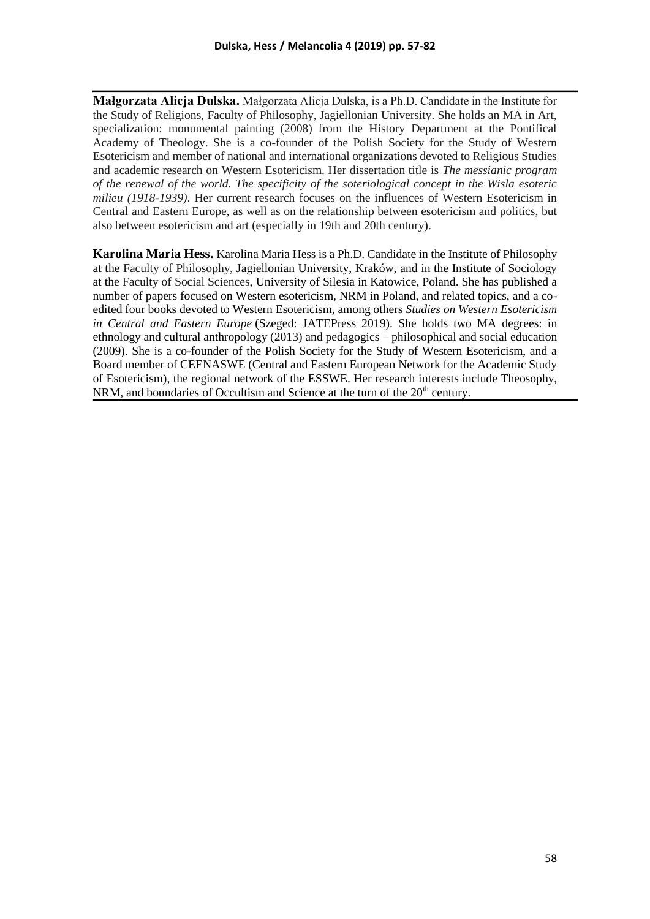**Małgorzata Alicja Dulska.** Małgorzata Alicja Dulska, is a Ph.D. Candidate in the Institute for the Study of Religions, Faculty of Philosophy, Jagiellonian University. She holds an MA in Art, specialization: monumental painting (2008) from the History Department at the Pontifical Academy of Theology. She is a co-founder of the Polish Society for the Study of Western Esotericism and member of national and international organizations devoted to Religious Studies and academic research on Western Esotericism. Her dissertation title is *The messianic program of the renewal of the world. The specificity of the soteriological concept in the Wisla esoteric milieu (1918-1939)*. Her current research focuses on the influences of Western Esotericism in Central and Eastern Europe, as well as on the relationship between esotericism and politics, but also between esotericism and art (especially in 19th and 20th century).

**Karolina Maria Hess.** Karolina Maria Hess is a Ph.D. Candidate in the Institute of Philosophy at the Faculty of Philosophy, Jagiellonian University, Kraków, and in the Institute of Sociology at the Faculty of Social Sciences, University of Silesia in Katowice, Poland. She has published a number of papers focused on Western esotericism, NRM in Poland, and related topics, and a coedited four books devoted to Western Esotericism, among others *Studies on Western Esotericism in Central and Eastern Europe* (Szeged: JATEPress 2019). She holds two MA degrees: in ethnology and cultural anthropology (2013) and pedagogics – philosophical and social education (2009). She is a co-founder of the Polish Society for the Study of Western Esotericism, and a Board member of CEENASWE (Central and Eastern European Network for the Academic Study of Esotericism), the regional network of the ESSWE. Her research interests include Theosophy, NRM, and boundaries of Occultism and Science at the turn of the  $20<sup>th</sup>$  century.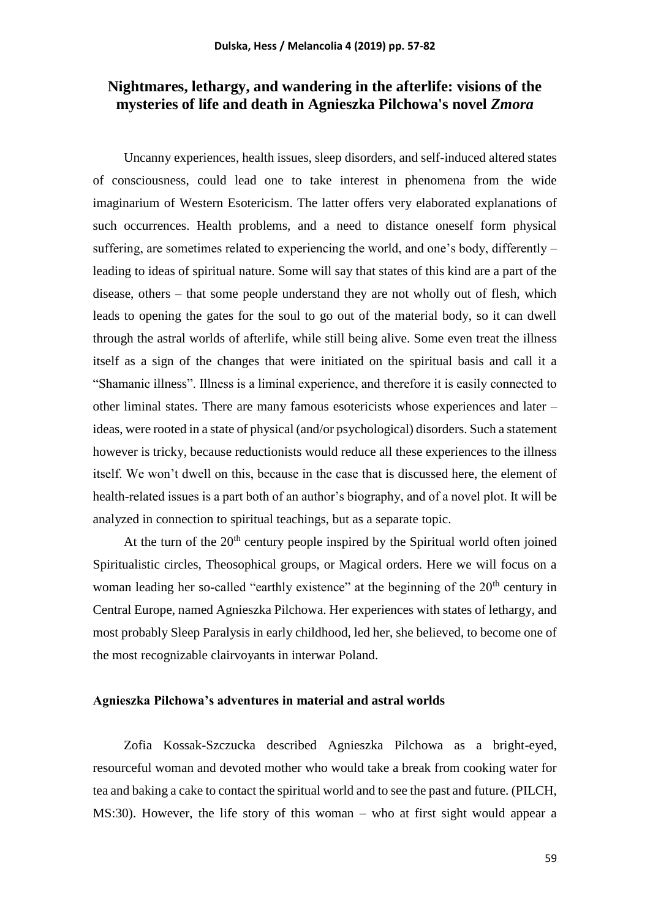# **Nightmares, lethargy, and wandering in the afterlife: visions of the mysteries of life and death in Agnieszka Pilchowa's novel** *Zmora*

Uncanny experiences, health issues, sleep disorders, and self-induced altered states of consciousness, could lead one to take interest in phenomena from the wide imaginarium of Western Esotericism. The latter offers very elaborated explanations of such occurrences. Health problems, and a need to distance oneself form physical suffering, are sometimes related to experiencing the world, and one's body, differently – leading to ideas of spiritual nature. Some will say that states of this kind are a part of the disease, others – that some people understand they are not wholly out of flesh, which leads to opening the gates for the soul to go out of the material body, so it can dwell through the astral worlds of afterlife, while still being alive. Some even treat the illness itself as a sign of the changes that were initiated on the spiritual basis and call it a "Shamanic illness". Illness is a liminal experience, and therefore it is easily connected to other liminal states. There are many famous esotericists whose experiences and later – ideas, were rooted in a state of physical (and/or psychological) disorders. Such a statement however is tricky, because reductionists would reduce all these experiences to the illness itself. We won't dwell on this, because in the case that is discussed here, the element of health-related issues is a part both of an author's biography, and of a novel plot. It will be analyzed in connection to spiritual teachings, but as a separate topic.

At the turn of the  $20<sup>th</sup>$  century people inspired by the Spiritual world often joined Spiritualistic circles, Theosophical groups, or Magical orders. Here we will focus on a woman leading her so-called "earthly existence" at the beginning of the  $20<sup>th</sup>$  century in Central Europe, named Agnieszka Pilchowa. Her experiences with states of lethargy, and most probably Sleep Paralysis in early childhood, led her, she believed, to become one of the most recognizable clairvoyants in interwar Poland.

# **Agnieszka Pilchowa's adventures in material and astral worlds**

Zofia Kossak-Szczucka described Agnieszka Pilchowa as a bright-eyed, resourceful woman and devoted mother who would take a break from cooking water for tea and baking a cake to contact the spiritual world and to see the past and future. (PILCH, MS:30). However, the life story of this woman – who at first sight would appear a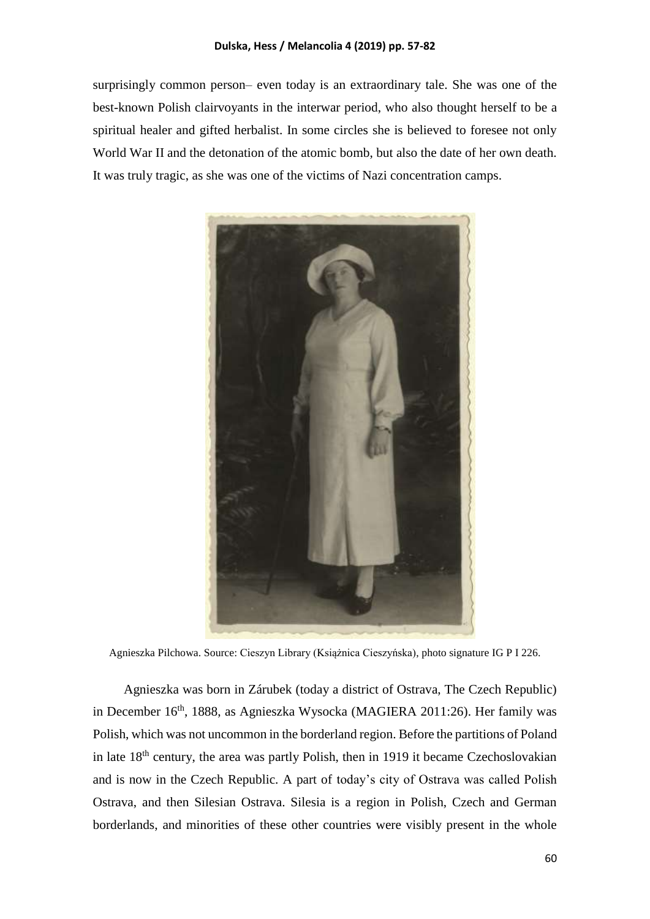surprisingly common person– even today is an extraordinary tale. She was one of the best-known Polish clairvoyants in the interwar period, who also thought herself to be a spiritual healer and gifted herbalist. In some circles she is believed to foresee not only World War II and the detonation of the atomic bomb, but also the date of her own death. It was truly tragic, as she was one of the victims of Nazi concentration camps.



Agnieszka Pilchowa. Source: Cieszyn Library (Książnica Cieszyńska), photo signature IG P I 226.

Agnieszka was born in Zárubek (today a district of Ostrava, The Czech Republic) in December 16<sup>th</sup>, 1888, as Agnieszka Wysocka (MAGIERA 2011:26). Her family was Polish, which was not uncommon in the borderland region. Before the partitions of Poland in late  $18<sup>th</sup>$  century, the area was partly Polish, then in 1919 it became Czechoslovakian and is now in the Czech Republic. A part of today's city of Ostrava was called Polish Ostrava, and then Silesian Ostrava. Silesia is a region in Polish, Czech and German borderlands, and minorities of these other countries were visibly present in the whole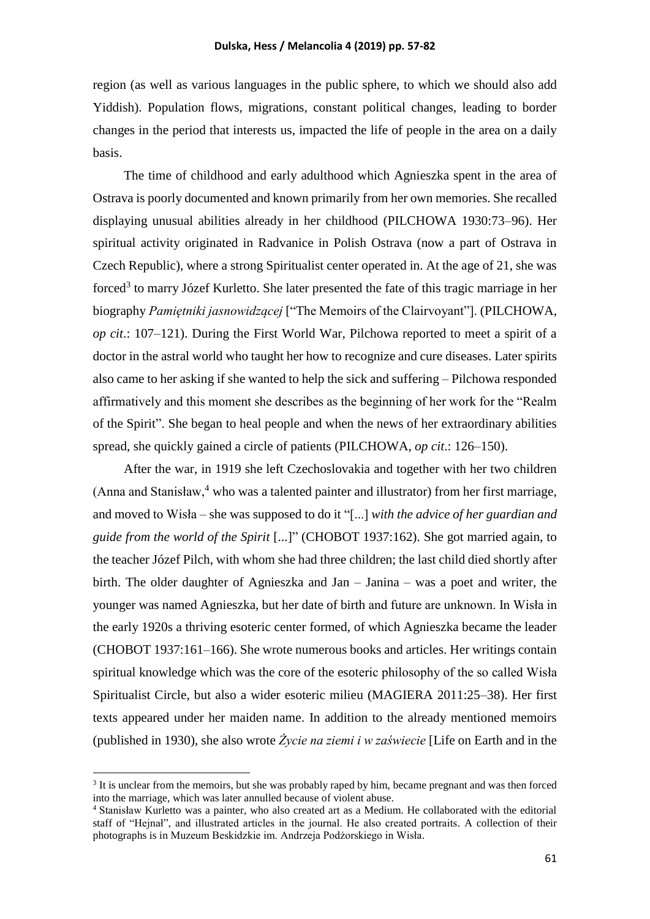region (as well as various languages in the public sphere, to which we should also add Yiddish). Population flows, migrations, constant political changes, leading to border changes in the period that interests us, impacted the life of people in the area on a daily basis.

The time of childhood and early adulthood which Agnieszka spent in the area of Ostrava is poorly documented and known primarily from her own memories. She recalled displaying unusual abilities already in her childhood (PILCHOWA 1930:73–96). Her spiritual activity originated in Radvanice in Polish Ostrava (now a part of Ostrava in Czech Republic), where a strong Spiritualist center operated in. At the age of 21, she was forced<sup>3</sup> to marry Józef Kurletto. She later presented the fate of this tragic marriage in her biography *Pamiętniki jasnowidzącej* ["The Memoirs of the Clairvoyant"]. (PILCHOWA, *op cit*.: 107–121). During the First World War, Pilchowa reported to meet a spirit of a doctor in the astral world who taught her how to recognize and cure diseases. Later spirits also came to her asking if she wanted to help the sick and suffering – Pilchowa responded affirmatively and this moment she describes as the beginning of her work for the "Realm of the Spirit". She began to heal people and when the news of her extraordinary abilities spread, she quickly gained a circle of patients (PILCHOWA, *op cit*.: 126–150).

After the war, in 1919 she left Czechoslovakia and together with her two children (Anna and Stanisław, $4\pi$  who was a talented painter and illustrator) from her first marriage, and moved to Wisła – she was supposed to do it "[...] *with the advice of her guardian and guide from the world of the Spirit* [...]" (CHOBOT 1937:162). She got married again, to the teacher Józef Pilch, with whom she had three children; the last child died shortly after birth. The older daughter of Agnieszka and Jan – Janina – was a poet and writer, the younger was named Agnieszka, but her date of birth and future are unknown. In Wisła in the early 1920s a thriving esoteric center formed, of which Agnieszka became the leader (CHOBOT 1937:161–166). She wrote numerous books and articles. Her writings contain spiritual knowledge which was the core of the esoteric philosophy of the so called Wisła Spiritualist Circle, but also a wider esoteric milieu (MAGIERA 2011:25–38). Her first texts appeared under her maiden name. In addition to the already mentioned memoirs (published in 1930), she also wrote *Życie na ziemi i w zaświecie* [Life on Earth and in the

1

<sup>&</sup>lt;sup>3</sup> It is unclear from the memoirs, but she was probably raped by him, became pregnant and was then forced into the marriage, which was later annulled because of violent abuse.

<sup>4</sup> Stanisław Kurletto was a painter, who also created art as a Medium. He collaborated with the editorial staff of "Hejnał", and illustrated articles in the journal. He also created portraits. A collection of their photographs is in Muzeum Beskidzkie im. Andrzeja Podżorskiego in Wisła.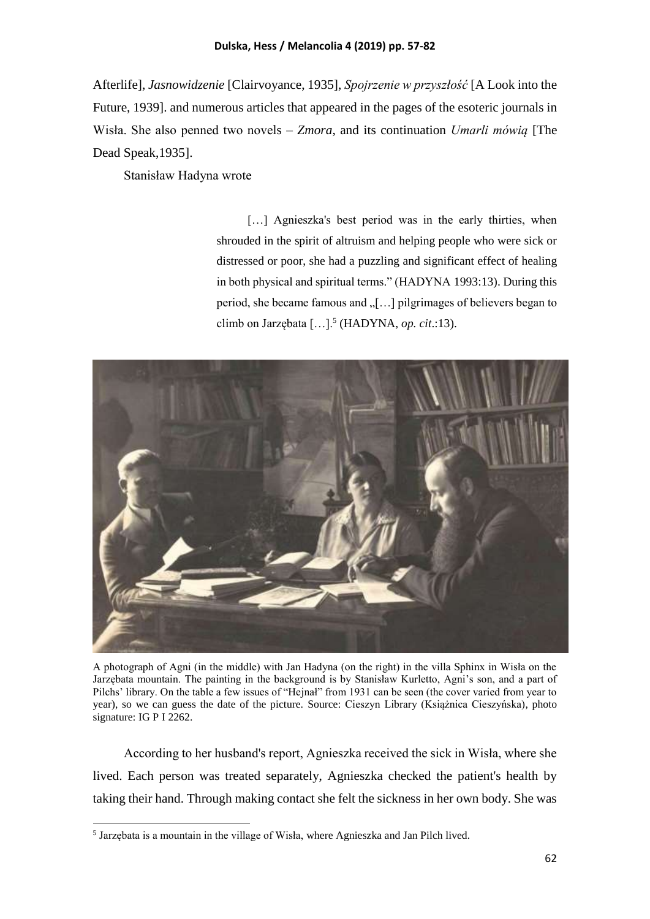Afterlife], *Jasnowidzenie* [Clairvoyance, 1935], *Spojrzenie w przyszłość* [A Look into the Future, 1939]. and numerous articles that appeared in the pages of the esoteric journals in Wisła. She also penned two novels – *Zmora*, and its continuation *Umarli mówią* [The Dead Speak,1935].

Stanisław Hadyna wrote

[...] Agnieszka's best period was in the early thirties, when shrouded in the spirit of altruism and helping people who were sick or distressed or poor, she had a puzzling and significant effect of healing in both physical and spiritual terms." (HADYNA 1993:13). During this period, she became famous and  $\sqrt{$ [...] pilgrimages of believers began to climb on Jarzębata […].<sup>5</sup> (HADYNA, *op. cit*.:13).



A photograph of Agni (in the middle) with Jan Hadyna (on the right) in the villa Sphinx in Wisła on the Jarzębata mountain. The painting in the background is by Stanisław Kurletto, Agni's son, and a part of Pilchs' library. On the table a few issues of "Hejnał" from 1931 can be seen (the cover varied from year to year), so we can guess the date of the picture. Source: Cieszyn Library (Książnica Cieszyńska), photo signature: IG P I 2262.

According to her husband's report, Agnieszka received the sick in Wisła, where she lived. Each person was treated separately, Agnieszka checked the patient's health by taking their hand. Through making contact she felt the sickness in her own body. She was

**.** 

<sup>&</sup>lt;sup>5</sup> Jarzębata is a mountain in the village of Wisła, where Agnieszka and Jan Pilch lived.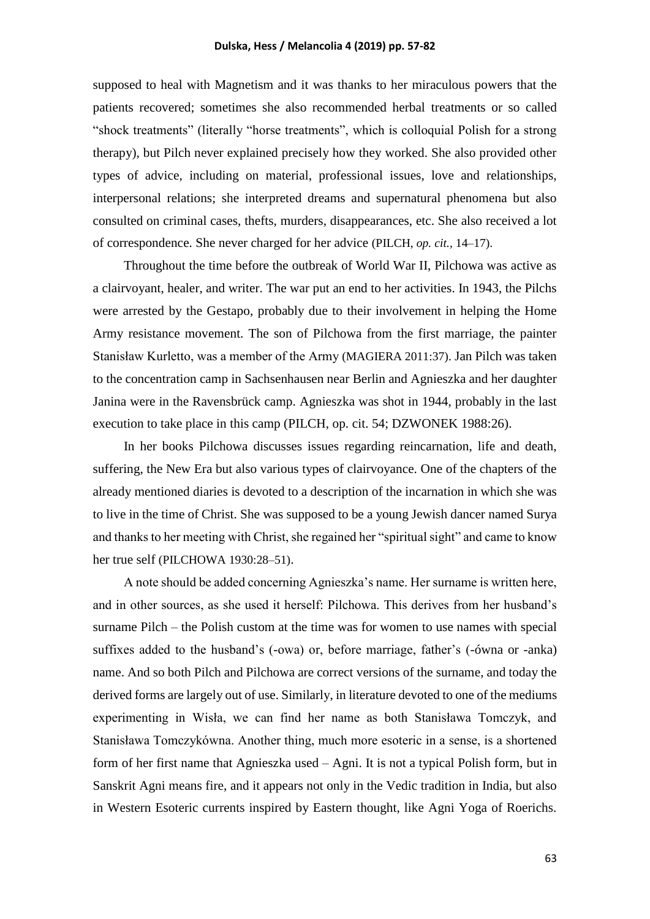supposed to heal with Magnetism and it was thanks to her miraculous powers that the patients recovered; sometimes she also recommended herbal treatments or so called "shock treatments" (literally "horse treatments", which is colloquial Polish for a strong therapy), but Pilch never explained precisely how they worked. She also provided other types of advice, including on material, professional issues, love and relationships, interpersonal relations; she interpreted dreams and supernatural phenomena but also consulted on criminal cases, thefts, murders, disappearances, etc. She also received a lot of correspondence. She never charged for her advice (PILCH, *op. cit.,* 14–17).

Throughout the time before the outbreak of World War II, Pilchowa was active as a clairvoyant, healer, and writer. The war put an end to her activities. In 1943, the Pilchs were arrested by the Gestapo, probably due to their involvement in helping the Home Army resistance movement. The son of Pilchowa from the first marriage, the painter Stanisław Kurletto, was a member of the Army (MAGIERA 2011:37). Jan Pilch was taken to the concentration camp in Sachsenhausen near Berlin and Agnieszka and her daughter Janina were in the Ravensbrück camp. Agnieszka was shot in 1944, probably in the last execution to take place in this camp (PILCH, op. cit. 54; DZWONEK 1988:26).

In her books Pilchowa discusses issues regarding reincarnation, life and death, suffering, the New Era but also various types of clairvoyance. One of the chapters of the already mentioned diaries is devoted to a description of the incarnation in which she was to live in the time of Christ. She was supposed to be a young Jewish dancer named Surya and thanks to her meeting with Christ, she regained her "spiritual sight" and came to know her true self (PILCHOWA 1930:28–51).

A note should be added concerning Agnieszka's name. Her surname is written here, and in other sources, as she used it herself: Pilchowa. This derives from her husband's surname Pilch – the Polish custom at the time was for women to use names with special suffixes added to the husband's (-owa) or, before marriage, father's (-ówna or -anka) name. And so both Pilch and Pilchowa are correct versions of the surname, and today the derived forms are largely out of use. Similarly, in literature devoted to one of the mediums experimenting in Wisła, we can find her name as both Stanisława Tomczyk, and Stanisława Tomczykówna. Another thing, much more esoteric in a sense, is a shortened form of her first name that Agnieszka used – Agni. It is not a typical Polish form, but in Sanskrit Agni means fire, and it appears not only in the Vedic tradition in India, but also in Western Esoteric currents inspired by Eastern thought, like Agni Yoga of Roerichs.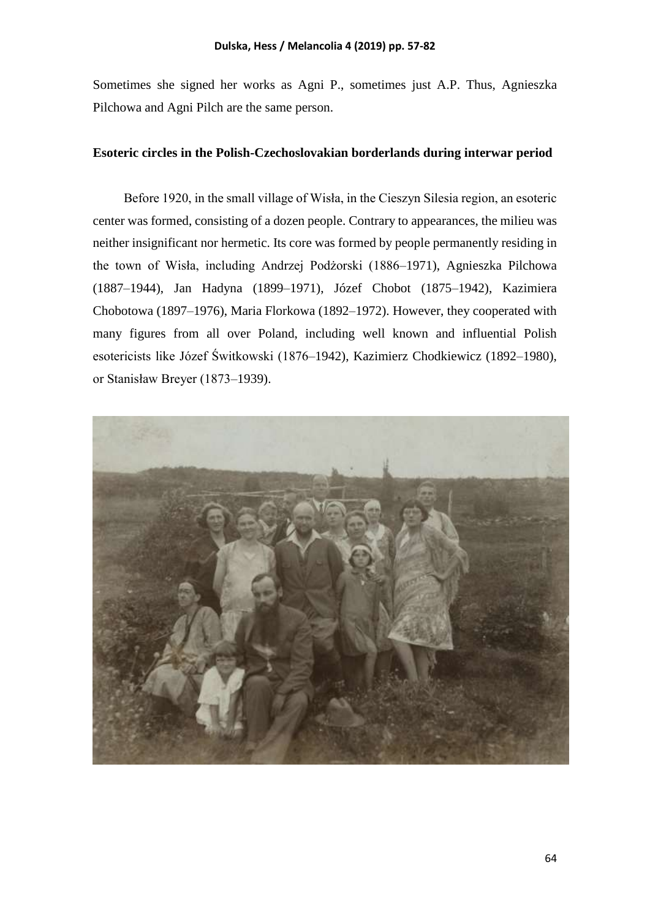Sometimes she signed her works as Agni P., sometimes just A.P. Thus, Agnieszka Pilchowa and Agni Pilch are the same person.

### **Esoteric circles in the Polish-Czechoslovakian borderlands during interwar period**

Before 1920, in the small village of Wisła, in the Cieszyn Silesia region, an esoteric center was formed, consisting of a dozen people. Contrary to appearances, the milieu was neither insignificant nor hermetic. Its core was formed by people permanently residing in the town of Wisła, including Andrzej Podżorski (1886–1971), Agnieszka Pilchowa (1887–1944), Jan Hadyna (1899–1971), Józef Chobot (1875–1942), Kazimiera Chobotowa (1897–1976), Maria Florkowa (1892–1972). However, they cooperated with many figures from all over Poland, including well known and influential Polish esotericists like Józef Świtkowski (1876–1942), Kazimierz Chodkiewicz (1892–1980), or Stanisław Breyer (1873–1939).

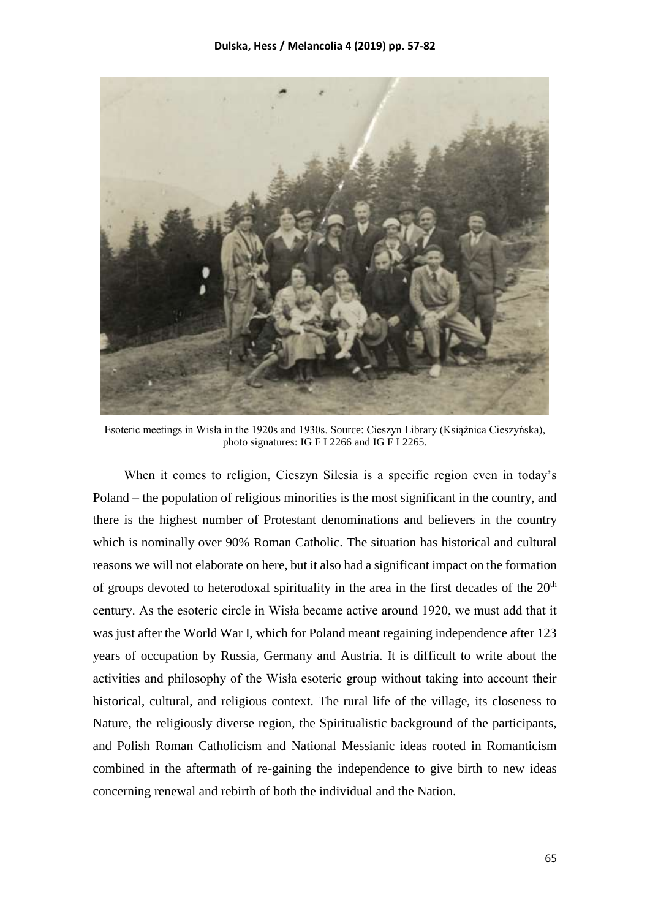

Esoteric meetings in Wisła in the 1920s and 1930s. Source: Cieszyn Library (Książnica Cieszyńska), photo signatures: IG F I 2266 and IG F I 2265.

When it comes to religion, Cieszyn Silesia is a specific region even in today's Poland – the population of religious minorities is the most significant in the country, and there is the highest number of Protestant denominations and believers in the country which is nominally over 90% Roman Catholic. The situation has historical and cultural reasons we will not elaborate on here, but it also had a significant impact on the formation of groups devoted to heterodoxal spirituality in the area in the first decades of the  $20<sup>th</sup>$ century. As the esoteric circle in Wisła became active around 1920, we must add that it was just after the World War I, which for Poland meant regaining independence after 123 years of occupation by Russia, Germany and Austria. It is difficult to write about the activities and philosophy of the Wisła esoteric group without taking into account their historical, cultural, and religious context. The rural life of the village, its closeness to Nature, the religiously diverse region, the Spiritualistic background of the participants, and Polish Roman Catholicism and National Messianic ideas rooted in Romanticism combined in the aftermath of re-gaining the independence to give birth to new ideas concerning renewal and rebirth of both the individual and the Nation.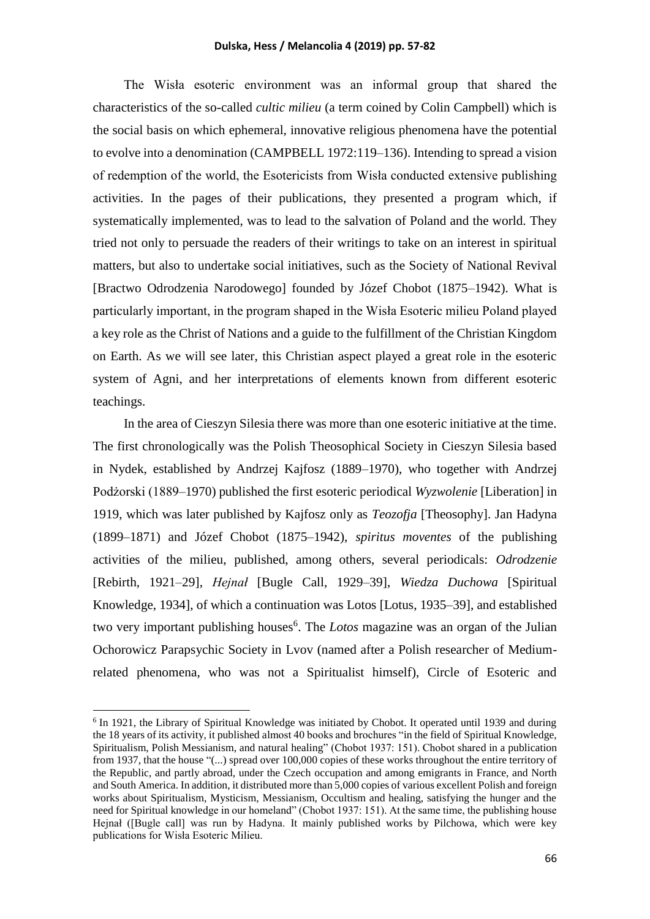The Wisła esoteric environment was an informal group that shared the characteristics of the so-called *cultic milieu* (a term coined by Colin Campbell) which is the social basis on which ephemeral, innovative religious phenomena have the potential to evolve into a denomination (CAMPBELL 1972:119–136). Intending to spread a vision of redemption of the world, the Esotericists from Wisła conducted extensive publishing activities. In the pages of their publications, they presented a program which, if systematically implemented, was to lead to the salvation of Poland and the world. They tried not only to persuade the readers of their writings to take on an interest in spiritual matters, but also to undertake social initiatives, such as the Society of National Revival [Bractwo Odrodzenia Narodowego] founded by Józef Chobot (1875–1942). What is particularly important, in the program shaped in the Wisła Esoteric milieu Poland played a key role as the Christ of Nations and a guide to the fulfillment of the Christian Kingdom on Earth. As we will see later, this Christian aspect played a great role in the esoteric system of Agni, and her interpretations of elements known from different esoteric teachings.

In the area of Cieszyn Silesia there was more than one esoteric initiative at the time. The first chronologically was the Polish Theosophical Society in Cieszyn Silesia based in Nydek, established by Andrzej Kajfosz (1889–1970), who together with Andrzej Podżorski (1889–1970) published the first esoteric periodical *Wyzwolenie* [Liberation] in 1919, which was later published by Kajfosz only as *Teozofja* [Theosophy]. Jan Hadyna (1899–1871) and Józef Chobot (1875–1942), *spiritus moventes* of the publishing activities of the milieu, published, among others, several periodicals: *Odrodzenie* [Rebirth, 1921–29], *Hejnał* [Bugle Call, 1929–39], *Wiedza Duchowa* [Spiritual Knowledge, 1934], of which a continuation was Lotos [Lotus, 1935–39], and established two very important publishing houses<sup>6</sup>. The *Lotos* magazine was an organ of the Julian Ochorowicz Parapsychic Society in Lvov (named after a Polish researcher of Mediumrelated phenomena, who was not a Spiritualist himself), Circle of Esoteric and

**.** 

<sup>&</sup>lt;sup>6</sup> In 1921, the Library of Spiritual Knowledge was initiated by Chobot. It operated until 1939 and during the 18 years of its activity, it published almost 40 books and brochures "in the field of Spiritual Knowledge, Spiritualism, Polish Messianism, and natural healing" (Chobot 1937: 151). Chobot shared in a publication from 1937, that the house "(...) spread over 100,000 copies of these works throughout the entire territory of the Republic, and partly abroad, under the Czech occupation and among emigrants in France, and North and South America. In addition, it distributed more than 5,000 copies of various excellent Polish and foreign works about Spiritualism, Mysticism, Messianism, Occultism and healing, satisfying the hunger and the need for Spiritual knowledge in our homeland" (Chobot 1937: 151). At the same time, the publishing house Hejnał ([Bugle call] was run by Hadyna. It mainly published works by Pilchowa, which were key publications for Wisła Esoteric Milieu.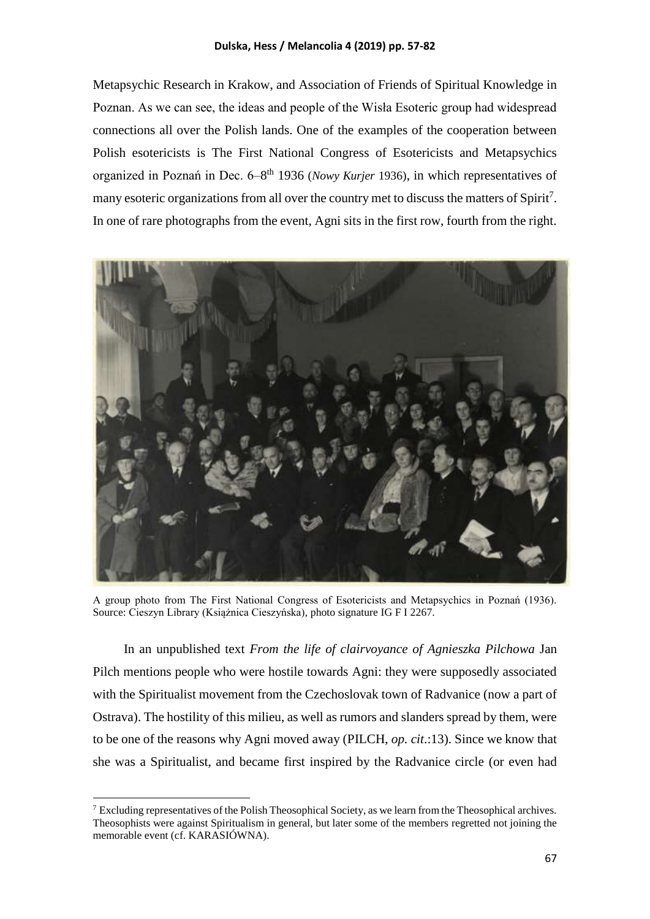Metapsychic Research in Krakow, and Association of Friends of Spiritual Knowledge in Poznan. As we can see, the ideas and people of the Wisła Esoteric group had widespread connections all over the Polish lands. One of the examples of the cooperation between Polish esotericists is The First National Congress of Esotericists and Metapsychics organized in Poznań in Dec. 6–8<sup>th</sup> 1936 (*Nowy Kurjer* 1936), in which representatives of many esoteric organizations from all over the country met to discuss the matters of Spirit<sup>7</sup>. In one of rare photographs from the event, Agni sits in the first row, fourth from the right.



A group photo from The First National Congress of Esotericists and Metapsychics in Poznań (1936). Source: Cieszyn Library (Książnica Cieszyńska), photo signature IG F I 2267.

In an unpublished text *From the life of clairvoyance of Agnieszka Pilchowa* Jan Pilch mentions people who were hostile towards Agni: they were supposedly associated with the Spiritualist movement from the Czechoslovak town of Radvanice (now a part of Ostrava). The hostility of this milieu, as well as rumors and slanders spread by them, were to be one of the reasons why Agni moved away (PILCH, *op. cit*.:13). Since we know that she was a Spiritualist, and became first inspired by the Radvanice circle (or even had

**.** 

 $<sup>7</sup>$  Excluding representatives of the Polish Theosophical Society, as we learn from the Theosophical archives.</sup> Theosophists were against Spiritualism in general, but later some of the members regretted not joining the memorable event (cf. KARASIÓWNA).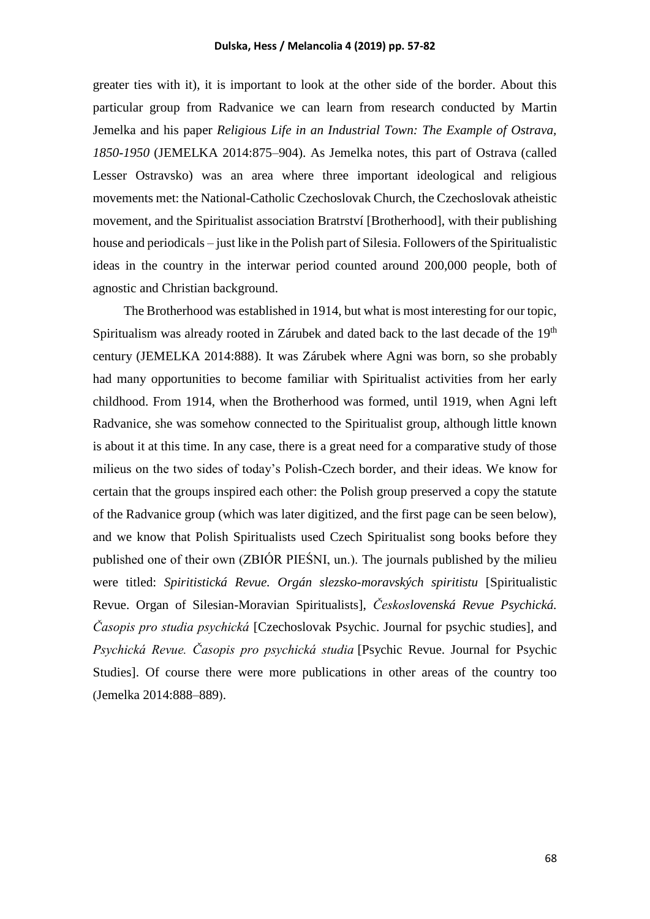greater ties with it), it is important to look at the other side of the border. About this particular group from Radvanice we can learn from research conducted by Martin Jemelka and his paper *Religious Life in an Industrial Town: The Example of Ostrava, 1850-1950* (JEMELKA 2014:875–904). As Jemelka notes, this part of Ostrava (called Lesser Ostravsko) was an area where three important ideological and religious movements met: the National-Catholic Czechoslovak Church, the Czechoslovak atheistic movement, and the Spiritualist association Bratrství [Brotherhood], with their publishing house and periodicals – just like in the Polish part of Silesia. Followers of the Spiritualistic ideas in the country in the interwar period counted around 200,000 people, both of agnostic and Christian background.

The Brotherhood was established in 1914, but what is most interesting for our topic, Spiritualism was already rooted in Zárubek and dated back to the last decade of the 19<sup>th</sup> century (JEMELKA 2014:888). It was Zárubek where Agni was born, so she probably had many opportunities to become familiar with Spiritualist activities from her early childhood. From 1914, when the Brotherhood was formed, until 1919, when Agni left Radvanice, she was somehow connected to the Spiritualist group, although little known is about it at this time. In any case, there is a great need for a comparative study of those milieus on the two sides of today's Polish-Czech border, and their ideas. We know for certain that the groups inspired each other: the Polish group preserved a copy the statute of the Radvanice group (which was later digitized, and the first page can be seen below), and we know that Polish Spiritualists used Czech Spiritualist song books before they published one of their own (ZBIÓR PIEŚNI, un.). The journals published by the milieu were titled: *Spiritistická Revue. Orgán slezsko-moravských spiritistu* [Spiritualistic Revue. Organ of Silesian-Moravian Spiritualists], *Československá Revue Psychická. Časopis pro studia psychická* [Czechoslovak Psychic. Journal for psychic studies], and *Psychická Revue. Časopis pro psychická studia* [Psychic Revue. Journal for Psychic Studies]. Of course there were more publications in other areas of the country too (Jemelka 2014:888–889).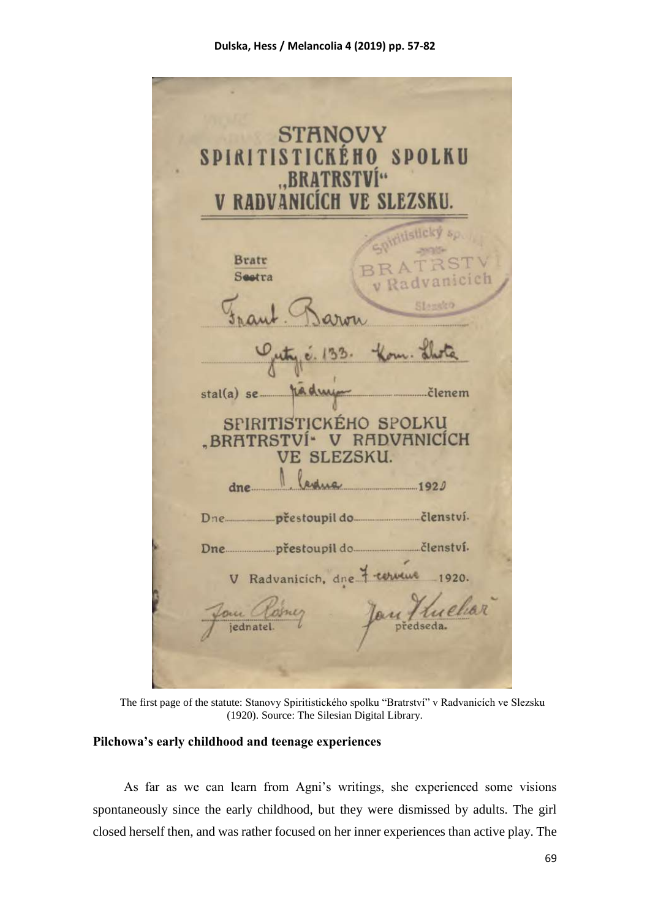| <b>STANOVY</b><br>SPIRITISTICKÉHO SPOLKU<br>"BRATRSTVÍ"<br>V RADVANICÍCH VE SLEZSKU.                             |
|------------------------------------------------------------------------------------------------------------------|
| oiritistický sp<br><b>Bratr</b><br>ATRST<br>Seetra<br>v Radvanicich                                              |
| Je. 133. Kom. Llota<br>pådnig<br>$stal(a)$ se<br>SPIRITISTICKÉHO SPOLKU<br>.BRATRSTVÍ <sup>*</sup> V RADVANICÍCH |
| VE SLEZSKU.<br>1920<br>dne.                                                                                      |
| V Radvanicich, dne 7 cerveus 1920.<br>Jan Kuehar<br>Jan Closney<br>jednatel.                                     |

The first page of the statute: Stanovy Spiritistického spolku "Bratrství" v Radvanicích ve Slezsku (1920). Source: The Silesian Digital Library.

# **Pilchowa's early childhood and teenage experiences**

As far as we can learn from Agni's writings, she experienced some visions spontaneously since the early childhood, but they were dismissed by adults. The girl closed herself then, and was rather focused on her inner experiences than active play. The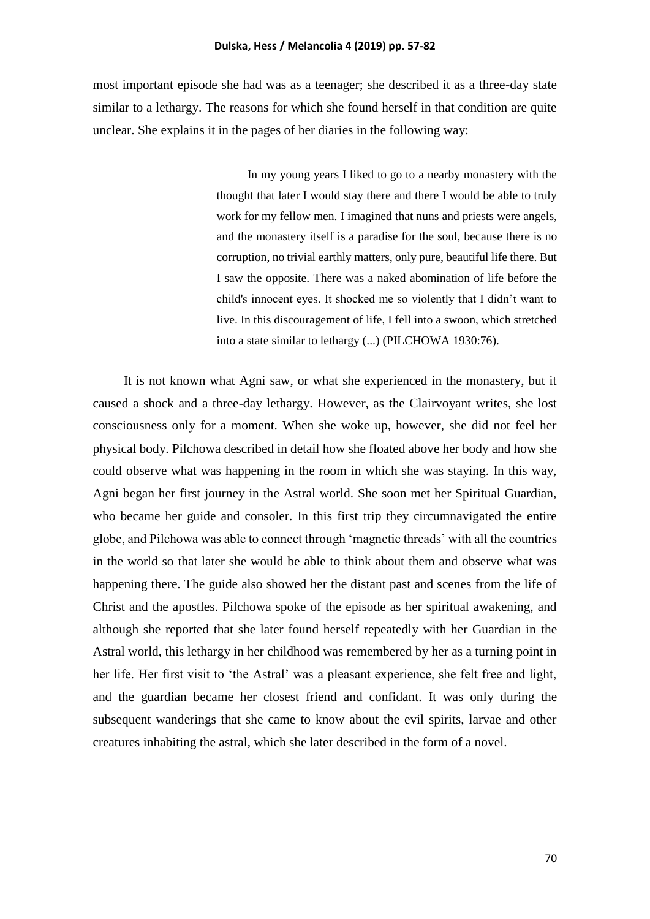most important episode she had was as a teenager; she described it as a three-day state similar to a lethargy. The reasons for which she found herself in that condition are quite unclear. She explains it in the pages of her diaries in the following way:

> In my young years I liked to go to a nearby monastery with the thought that later I would stay there and there I would be able to truly work for my fellow men. I imagined that nuns and priests were angels, and the monastery itself is a paradise for the soul, because there is no corruption, no trivial earthly matters, only pure, beautiful life there. But I saw the opposite. There was a naked abomination of life before the child's innocent eyes. It shocked me so violently that I didn't want to live. In this discouragement of life, I fell into a swoon, which stretched into a state similar to lethargy (...) (PILCHOWA 1930:76).

It is not known what Agni saw, or what she experienced in the monastery, but it caused a shock and a three-day lethargy. However, as the Clairvoyant writes, she lost consciousness only for a moment. When she woke up, however, she did not feel her physical body. Pilchowa described in detail how she floated above her body and how she could observe what was happening in the room in which she was staying. In this way, Agni began her first journey in the Astral world. She soon met her Spiritual Guardian, who became her guide and consoler. In this first trip they circumnavigated the entire globe, and Pilchowa was able to connect through 'magnetic threads' with all the countries in the world so that later she would be able to think about them and observe what was happening there. The guide also showed her the distant past and scenes from the life of Christ and the apostles. Pilchowa spoke of the episode as her spiritual awakening, and although she reported that she later found herself repeatedly with her Guardian in the Astral world, this lethargy in her childhood was remembered by her as a turning point in her life. Her first visit to 'the Astral' was a pleasant experience, she felt free and light, and the guardian became her closest friend and confidant. It was only during the subsequent wanderings that she came to know about the evil spirits, larvae and other creatures inhabiting the astral, which she later described in the form of a novel.

70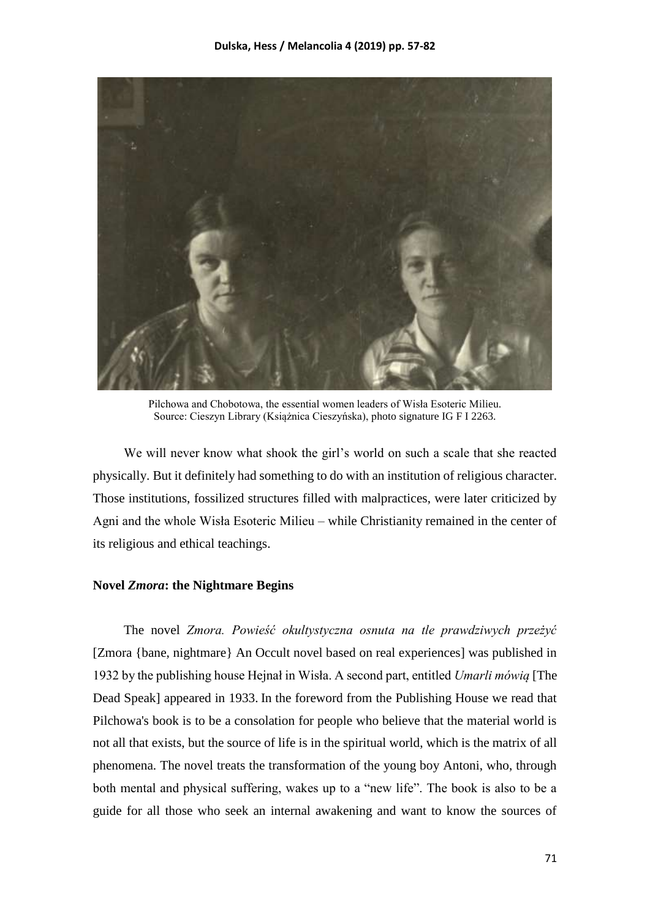

Pilchowa and Chobotowa, the essential women leaders of Wisła Esoteric Milieu. Source: Cieszyn Library (Książnica Cieszyńska), photo signature IG F I 2263.

We will never know what shook the girl's world on such a scale that she reacted physically. But it definitely had something to do with an institution of religious character. Those institutions, fossilized structures filled with malpractices, were later criticized by Agni and the whole Wisła Esoteric Milieu – while Christianity remained in the center of its religious and ethical teachings.

### **Novel** *Zmora***: the Nightmare Begins**

The novel *Zmora. Powieść okultystyczna osnuta na tle prawdziwych przeżyć* [Zmora {bane, nightmare} An Occult novel based on real experiences] was published in 1932 by the publishing house Hejnał in Wisła. A second part, entitled *Umarli mówią* [The Dead Speak] appeared in 1933. In the foreword from the Publishing House we read that Pilchowa's book is to be a consolation for people who believe that the material world is not all that exists, but the source of life is in the spiritual world, which is the matrix of all phenomena. The novel treats the transformation of the young boy Antoni, who, through both mental and physical suffering, wakes up to a "new life". The book is also to be a guide for all those who seek an internal awakening and want to know the sources of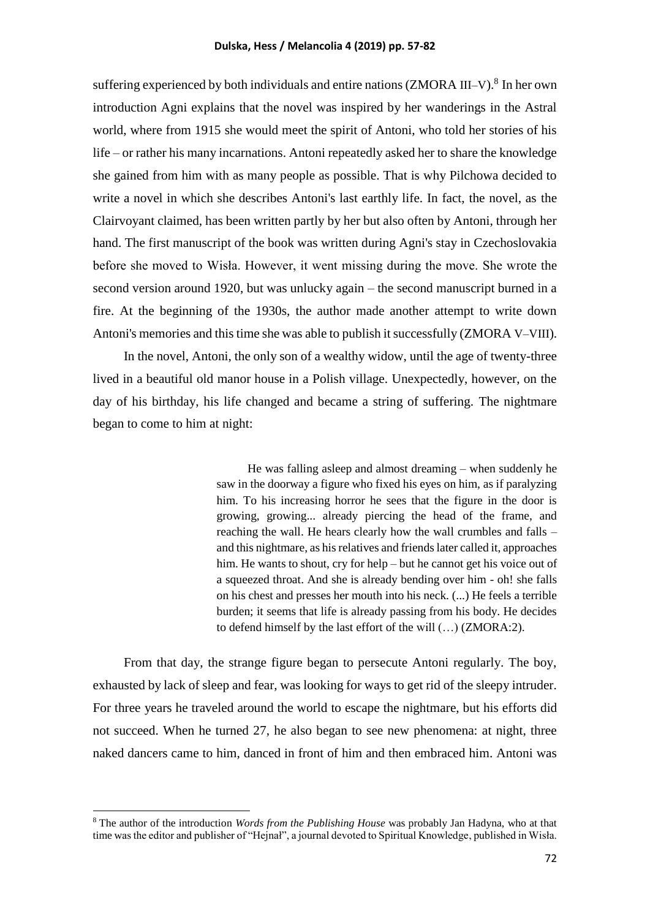suffering experienced by both individuals and entire nations (ZMORA III–V).<sup>8</sup> In her own introduction Agni explains that the novel was inspired by her wanderings in the Astral world, where from 1915 she would meet the spirit of Antoni, who told her stories of his life – or rather his many incarnations. Antoni repeatedly asked her to share the knowledge she gained from him with as many people as possible. That is why Pilchowa decided to write a novel in which she describes Antoni's last earthly life. In fact, the novel, as the Clairvoyant claimed, has been written partly by her but also often by Antoni, through her hand. The first manuscript of the book was written during Agni's stay in Czechoslovakia before she moved to Wisła. However, it went missing during the move. She wrote the second version around 1920, but was unlucky again – the second manuscript burned in a fire. At the beginning of the 1930s, the author made another attempt to write down Antoni's memories and this time she was able to publish it successfully (ZMORA V–VIII).

In the novel, Antoni, the only son of a wealthy widow, until the age of twenty-three lived in a beautiful old manor house in a Polish village. Unexpectedly, however, on the day of his birthday, his life changed and became a string of suffering. The nightmare began to come to him at night:

> He was falling asleep and almost dreaming – when suddenly he saw in the doorway a figure who fixed his eyes on him, as if paralyzing him. To his increasing horror he sees that the figure in the door is growing, growing... already piercing the head of the frame, and reaching the wall. He hears clearly how the wall crumbles and falls – and this nightmare, as his relatives and friends later called it, approaches him. He wants to shout, cry for help – but he cannot get his voice out of a squeezed throat. And she is already bending over him - oh! she falls on his chest and presses her mouth into his neck. (...) He feels a terrible burden; it seems that life is already passing from his body. He decides to defend himself by the last effort of the will (…) (ZMORA:2).

From that day, the strange figure began to persecute Antoni regularly. The boy, exhausted by lack of sleep and fear, was looking for ways to get rid of the sleepy intruder. For three years he traveled around the world to escape the nightmare, but his efforts did not succeed. When he turned 27, he also began to see new phenomena: at night, three naked dancers came to him, danced in front of him and then embraced him. Antoni was

**.** 

<sup>8</sup> The author of the introduction *Words from the Publishing House* was probably Jan Hadyna, who at that time was the editor and publisher of "Hejnał", a journal devoted to Spiritual Knowledge, published in Wisła.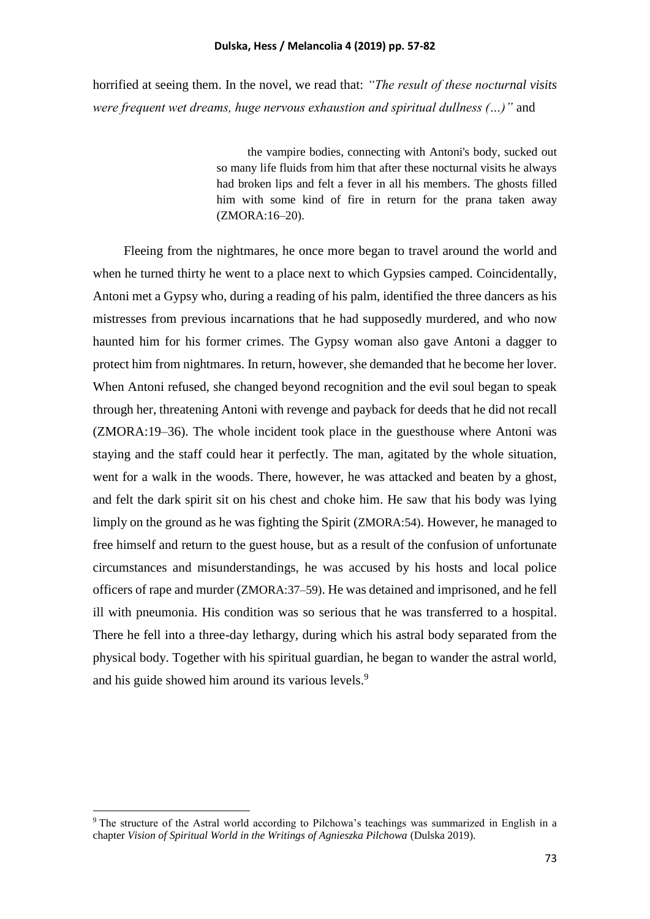horrified at seeing them. In the novel, we read that: *"The result of these nocturnal visits were frequent wet dreams, huge nervous exhaustion and spiritual dullness (…)"* and

> the vampire bodies, connecting with Antoni's body, sucked out so many life fluids from him that after these nocturnal visits he always had broken lips and felt a fever in all his members. The ghosts filled him with some kind of fire in return for the prana taken away (ZMORA:16–20).

Fleeing from the nightmares, he once more began to travel around the world and when he turned thirty he went to a place next to which Gypsies camped. Coincidentally, Antoni met a Gypsy who, during a reading of his palm, identified the three dancers as his mistresses from previous incarnations that he had supposedly murdered, and who now haunted him for his former crimes. The Gypsy woman also gave Antoni a dagger to protect him from nightmares. In return, however, she demanded that he become her lover. When Antoni refused, she changed beyond recognition and the evil soul began to speak through her, threatening Antoni with revenge and payback for deeds that he did not recall (ZMORA:19–36). The whole incident took place in the guesthouse where Antoni was staying and the staff could hear it perfectly. The man, agitated by the whole situation, went for a walk in the woods. There, however, he was attacked and beaten by a ghost, and felt the dark spirit sit on his chest and choke him. He saw that his body was lying limply on the ground as he was fighting the Spirit (ZMORA:54). However, he managed to free himself and return to the guest house, but as a result of the confusion of unfortunate circumstances and misunderstandings, he was accused by his hosts and local police officers of rape and murder (ZMORA:37–59). He was detained and imprisoned, and he fell ill with pneumonia. His condition was so serious that he was transferred to a hospital. There he fell into a three-day lethargy, during which his astral body separated from the physical body. Together with his spiritual guardian, he began to wander the astral world, and his guide showed him around its various levels.<sup>9</sup>

**.** 

<sup>9</sup> The structure of the Astral world according to Pilchowa's teachings was summarized in English in a chapter *Vision of Spiritual World in the Writings of Agnieszka Pilchowa* (Dulska 2019).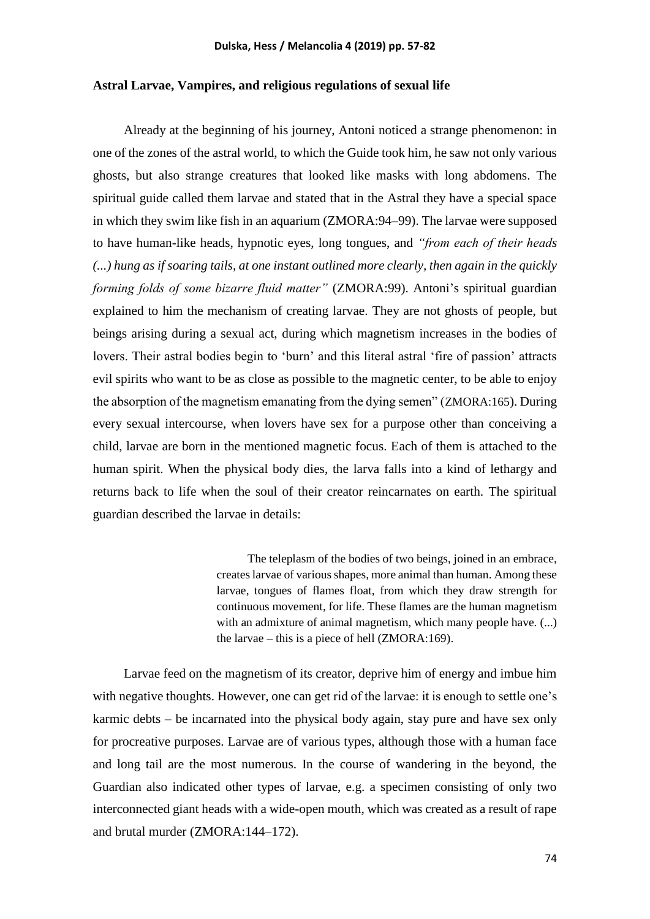### **Astral Larvae, Vampires, and religious regulations of sexual life**

Already at the beginning of his journey, Antoni noticed a strange phenomenon: in one of the zones of the astral world, to which the Guide took him, he saw not only various ghosts, but also strange creatures that looked like masks with long abdomens. The spiritual guide called them larvae and stated that in the Astral they have a special space in which they swim like fish in an aquarium (ZMORA:94–99). The larvae were supposed to have human-like heads, hypnotic eyes, long tongues, and *"from each of their heads (...) hung as if soaring tails, at one instant outlined more clearly, then again in the quickly forming folds of some bizarre fluid matter"* (ZMORA:99). Antoni's spiritual guardian explained to him the mechanism of creating larvae. They are not ghosts of people, but beings arising during a sexual act, during which magnetism increases in the bodies of lovers. Their astral bodies begin to 'burn' and this literal astral 'fire of passion' attracts evil spirits who want to be as close as possible to the magnetic center, to be able to enjoy the absorption of the magnetism emanating from the dying semen" (ZMORA:165). During every sexual intercourse, when lovers have sex for a purpose other than conceiving a child, larvae are born in the mentioned magnetic focus. Each of them is attached to the human spirit. When the physical body dies, the larva falls into a kind of lethargy and returns back to life when the soul of their creator reincarnates on earth. The spiritual guardian described the larvae in details:

> The teleplasm of the bodies of two beings, joined in an embrace, creates larvae of various shapes, more animal than human. Among these larvae, tongues of flames float, from which they draw strength for continuous movement, for life. These flames are the human magnetism with an admixture of animal magnetism, which many people have.  $(...)$ the larvae – this is a piece of hell (ZMORA:169).

Larvae feed on the magnetism of its creator, deprive him of energy and imbue him with negative thoughts. However, one can get rid of the larvae: it is enough to settle one's karmic debts – be incarnated into the physical body again, stay pure and have sex only for procreative purposes. Larvae are of various types, although those with a human face and long tail are the most numerous. In the course of wandering in the beyond, the Guardian also indicated other types of larvae, e.g. a specimen consisting of only two interconnected giant heads with a wide-open mouth, which was created as a result of rape and brutal murder (ZMORA:144–172).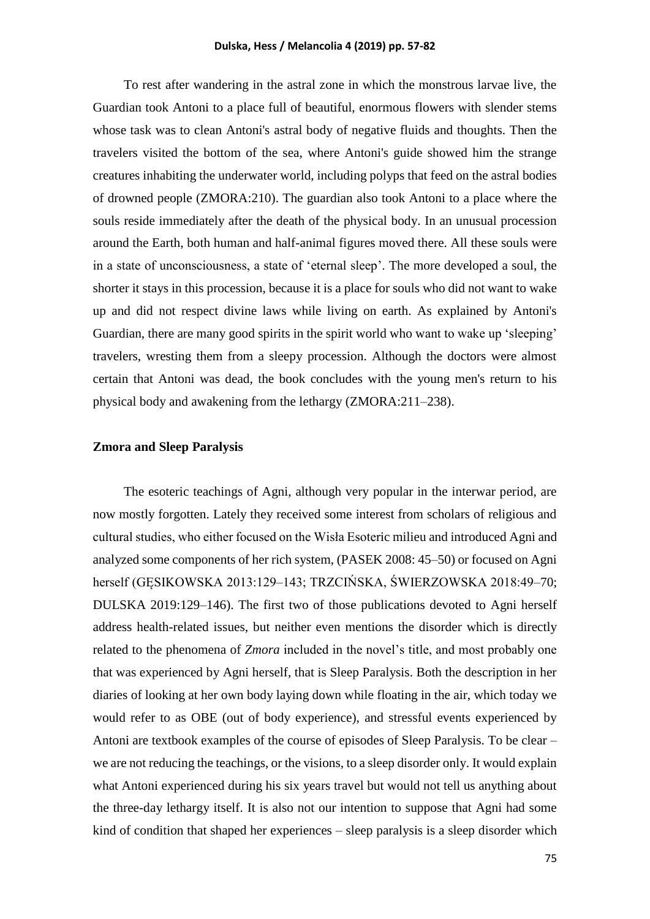To rest after wandering in the astral zone in which the monstrous larvae live, the Guardian took Antoni to a place full of beautiful, enormous flowers with slender stems whose task was to clean Antoni's astral body of negative fluids and thoughts. Then the travelers visited the bottom of the sea, where Antoni's guide showed him the strange creatures inhabiting the underwater world, including polyps that feed on the astral bodies of drowned people (ZMORA:210). The guardian also took Antoni to a place where the souls reside immediately after the death of the physical body. In an unusual procession around the Earth, both human and half-animal figures moved there. All these souls were in a state of unconsciousness, a state of 'eternal sleep'. The more developed a soul, the shorter it stays in this procession, because it is a place for souls who did not want to wake up and did not respect divine laws while living on earth. As explained by Antoni's Guardian, there are many good spirits in the spirit world who want to wake up 'sleeping' travelers, wresting them from a sleepy procession. Although the doctors were almost certain that Antoni was dead, the book concludes with the young men's return to his physical body and awakening from the lethargy (ZMORA:211–238).

### **Zmora and Sleep Paralysis**

The esoteric teachings of Agni, although very popular in the interwar period, are now mostly forgotten. Lately they received some interest from scholars of religious and cultural studies, who either focused on the Wisła Esoteric milieu and introduced Agni and analyzed some components of her rich system, (PASEK 2008: 45–50) or focused on Agni herself (GĘSIKOWSKA 2013:129–143; TRZCIŃSKA, ŚWIERZOWSKA 2018:49–70; DULSKA 2019:129–146). The first two of those publications devoted to Agni herself address health-related issues, but neither even mentions the disorder which is directly related to the phenomena of *Zmora* included in the novel's title, and most probably one that was experienced by Agni herself, that is Sleep Paralysis. Both the description in her diaries of looking at her own body laying down while floating in the air, which today we would refer to as OBE (out of body experience), and stressful events experienced by Antoni are textbook examples of the course of episodes of Sleep Paralysis. To be clear – we are not reducing the teachings, or the visions, to a sleep disorder only. It would explain what Antoni experienced during his six years travel but would not tell us anything about the three-day lethargy itself. It is also not our intention to suppose that Agni had some kind of condition that shaped her experiences – sleep paralysis is a sleep disorder which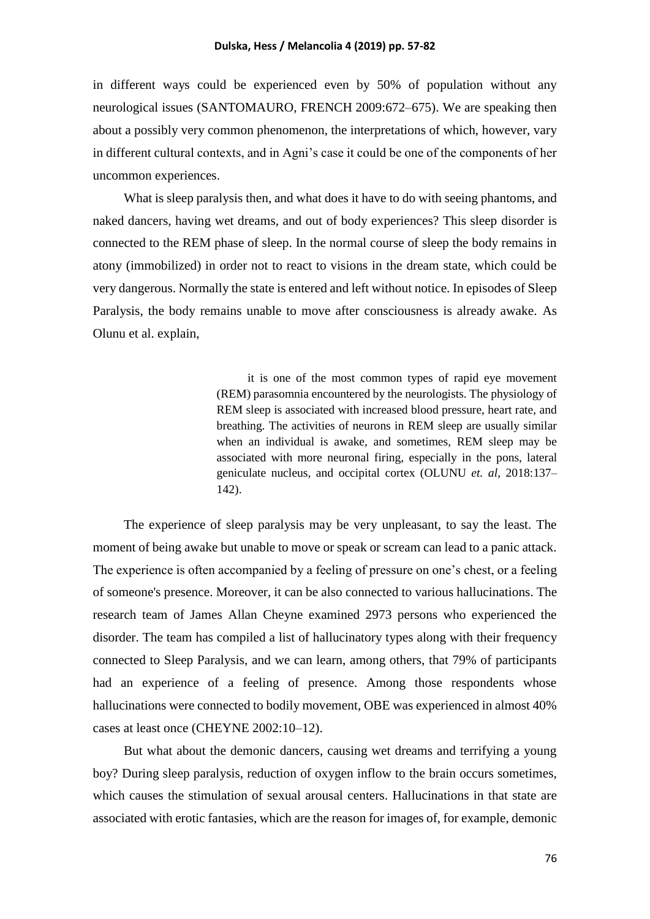in different ways could be experienced even by 50% of population without any neurological issues (SANTOMAURO, FRENCH 2009:672–675). We are speaking then about a possibly very common phenomenon, the interpretations of which, however, vary in different cultural contexts, and in Agni's case it could be one of the components of her uncommon experiences.

What is sleep paralysis then, and what does it have to do with seeing phantoms, and naked dancers, having wet dreams, and out of body experiences? This sleep disorder is connected to the REM phase of sleep. In the normal course of sleep the body remains in atony (immobilized) in order not to react to visions in the dream state, which could be very dangerous. Normally the state is entered and left without notice. In episodes of Sleep Paralysis, the body remains unable to move after consciousness is already awake. As Olunu et al. explain,

> it is one of the most common types of rapid eye movement (REM) parasomnia encountered by the neurologists. The physiology of REM sleep is associated with increased blood pressure, heart rate, and breathing. The activities of neurons in REM sleep are usually similar when an individual is awake, and sometimes, REM sleep may be associated with more neuronal firing, especially in the pons, lateral geniculate nucleus, and occipital cortex (OLUNU *et. al*, 2018:137– 142).

The experience of sleep paralysis may be very unpleasant, to say the least. The moment of being awake but unable to move or speak or scream can lead to a panic attack. The experience is often accompanied by a feeling of pressure on one's chest, or a feeling of someone's presence. Moreover, it can be also connected to various hallucinations. The research team of James Allan Cheyne examined 2973 persons who experienced the disorder. The team has compiled a list of hallucinatory types along with their frequency connected to Sleep Paralysis, and we can learn, among others, that 79% of participants had an experience of a feeling of presence. Among those respondents whose hallucinations were connected to bodily movement, OBE was experienced in almost 40% cases at least once (CHEYNE 2002:10–12).

But what about the demonic dancers, causing wet dreams and terrifying a young boy? During sleep paralysis, reduction of oxygen inflow to the brain occurs sometimes, which causes the stimulation of sexual arousal centers. Hallucinations in that state are associated with erotic fantasies, which are the reason for images of, for example, demonic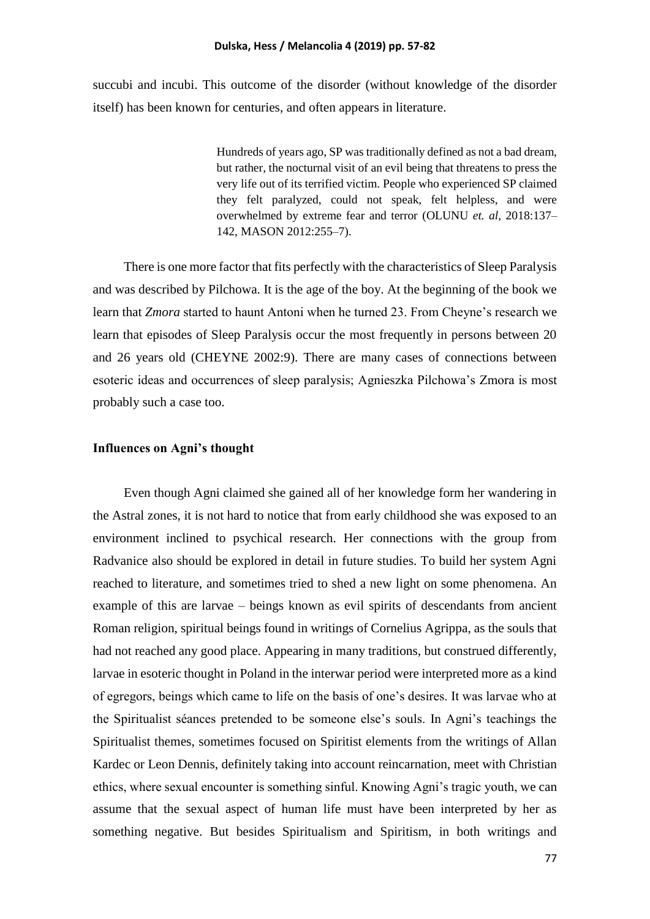succubi and incubi. This outcome of the disorder (without knowledge of the disorder itself) has been known for centuries, and often appears in literature.

> Hundreds of years ago, SP was traditionally defined as not a bad dream, but rather, the nocturnal visit of an evil being that threatens to press the very life out of its terrified victim. People who experienced SP claimed they felt paralyzed, could not speak, felt helpless, and were overwhelmed by extreme fear and terror (OLUNU *et. al*, 2018:137– 142, MASON 2012:255–7).

There is one more factor that fits perfectly with the characteristics of Sleep Paralysis and was described by Pilchowa. It is the age of the boy. At the beginning of the book we learn that *Zmora* started to haunt Antoni when he turned 23. From Cheyne's research we learn that episodes of Sleep Paralysis occur the most frequently in persons between 20 and 26 years old (CHEYNE 2002:9). There are many cases of connections between esoteric ideas and occurrences of sleep paralysis; Agnieszka Pilchowa's Zmora is most probably such a case too.

### **Influences on Agni's thought**

Even though Agni claimed she gained all of her knowledge form her wandering in the Astral zones, it is not hard to notice that from early childhood she was exposed to an environment inclined to psychical research. Her connections with the group from Radvanice also should be explored in detail in future studies. To build her system Agni reached to literature, and sometimes tried to shed a new light on some phenomena. An example of this are larvae – beings known as evil spirits of descendants from ancient Roman religion, spiritual beings found in writings of Cornelius Agrippa, as the souls that had not reached any good place. Appearing in many traditions, but construed differently, larvae in esoteric thought in Poland in the interwar period were interpreted more as a kind of egregors, beings which came to life on the basis of one's desires. It was larvae who at the Spiritualist séances pretended to be someone else's souls. In Agni's teachings the Spiritualist themes, sometimes focused on Spiritist elements from the writings of Allan Kardec or Leon Dennis, definitely taking into account reincarnation, meet with Christian ethics, where sexual encounter is something sinful. Knowing Agni's tragic youth, we can assume that the sexual aspect of human life must have been interpreted by her as something negative. But besides Spiritualism and Spiritism, in both writings and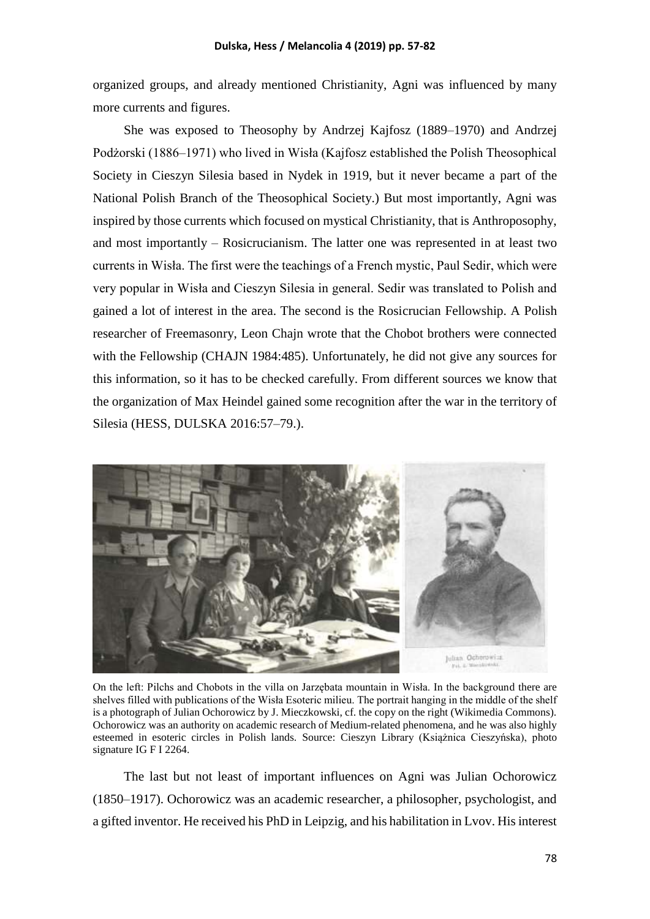organized groups, and already mentioned Christianity, Agni was influenced by many more currents and figures.

She was exposed to Theosophy by Andrzej Kajfosz (1889–1970) and Andrzej Podżorski (1886–1971) who lived in Wisła (Kajfosz established the Polish Theosophical Society in Cieszyn Silesia based in Nydek in 1919, but it never became a part of the National Polish Branch of the Theosophical Society.) But most importantly, Agni was inspired by those currents which focused on mystical Christianity, that is Anthroposophy, and most importantly – Rosicrucianism. The latter one was represented in at least two currents in Wisła. The first were the teachings of a French mystic, Paul Sedir, which were very popular in Wisła and Cieszyn Silesia in general. Sedir was translated to Polish and gained a lot of interest in the area. The second is the Rosicrucian Fellowship. A Polish researcher of Freemasonry, Leon Chajn wrote that the Chobot brothers were connected with the Fellowship (CHAJN 1984:485). Unfortunately, he did not give any sources for this information, so it has to be checked carefully. From different sources we know that the organization of Max Heindel gained some recognition after the war in the territory of Silesia (HESS, DULSKA 2016:57–79.).



On the left: Pilchs and Chobots in the villa on Jarzębata mountain in Wisła. In the background there are shelves filled with publications of the Wisła Esoteric milieu. The portrait hanging in the middle of the shelf is a photograph of Julian Ochorowicz by J. Mieczkowski, cf. the copy on the right (Wikimedia Commons). Ochorowicz was an authority on academic research of Medium-related phenomena, and he was also highly esteemed in esoteric circles in Polish lands. Source: Cieszyn Library (Książnica Cieszyńska), photo signature IG F I 2264.

The last but not least of important influences on Agni was Julian Ochorowicz (1850–1917). Ochorowicz was an academic researcher, a philosopher, psychologist, and a gifted inventor. He received his PhD in Leipzig, and his habilitation in Lvov. His interest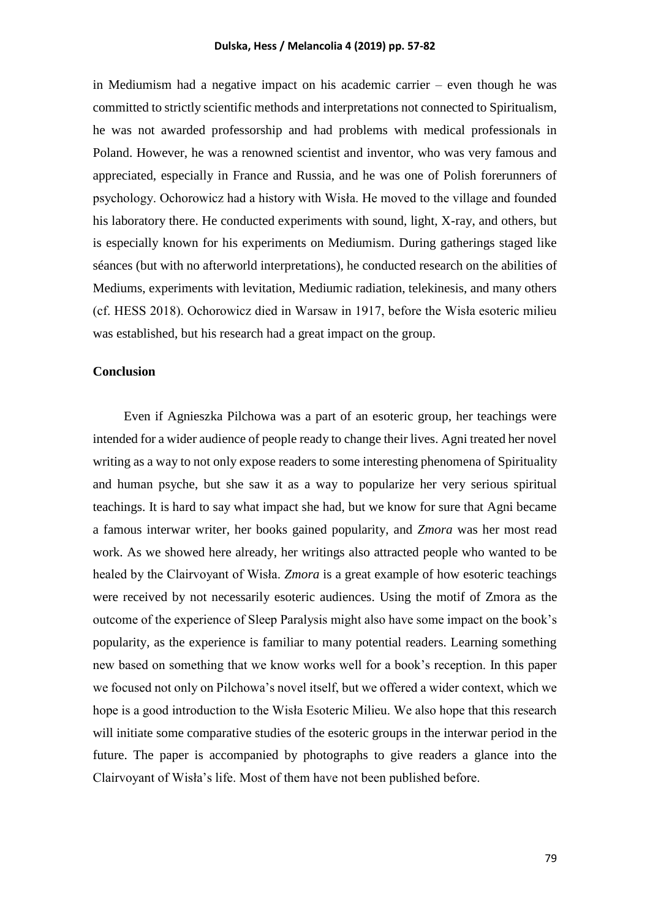in Mediumism had a negative impact on his academic carrier – even though he was committed to strictly scientific methods and interpretations not connected to Spiritualism, he was not awarded professorship and had problems with medical professionals in Poland. However, he was a renowned scientist and inventor, who was very famous and appreciated, especially in France and Russia, and he was one of Polish forerunners of psychology. Ochorowicz had a history with Wisła. He moved to the village and founded his laboratory there. He conducted experiments with sound, light, X-ray, and others, but is especially known for his experiments on Mediumism. During gatherings staged like séances (but with no afterworld interpretations), he conducted research on the abilities of Mediums, experiments with levitation, Mediumic radiation, telekinesis, and many others (cf. HESS 2018). Ochorowicz died in Warsaw in 1917, before the Wisła esoteric milieu was established, but his research had a great impact on the group.

### **Conclusion**

Even if Agnieszka Pilchowa was a part of an esoteric group, her teachings were intended for a wider audience of people ready to change their lives. Agni treated her novel writing as a way to not only expose readers to some interesting phenomena of Spirituality and human psyche, but she saw it as a way to popularize her very serious spiritual teachings. It is hard to say what impact she had, but we know for sure that Agni became a famous interwar writer, her books gained popularity, and *Zmora* was her most read work. As we showed here already, her writings also attracted people who wanted to be healed by the Clairvoyant of Wisła. *Zmora* is a great example of how esoteric teachings were received by not necessarily esoteric audiences. Using the motif of Zmora as the outcome of the experience of Sleep Paralysis might also have some impact on the book's popularity, as the experience is familiar to many potential readers. Learning something new based on something that we know works well for a book's reception. In this paper we focused not only on Pilchowa's novel itself, but we offered a wider context, which we hope is a good introduction to the Wisła Esoteric Milieu. We also hope that this research will initiate some comparative studies of the esoteric groups in the interwar period in the future. The paper is accompanied by photographs to give readers a glance into the Clairvoyant of Wisła's life. Most of them have not been published before.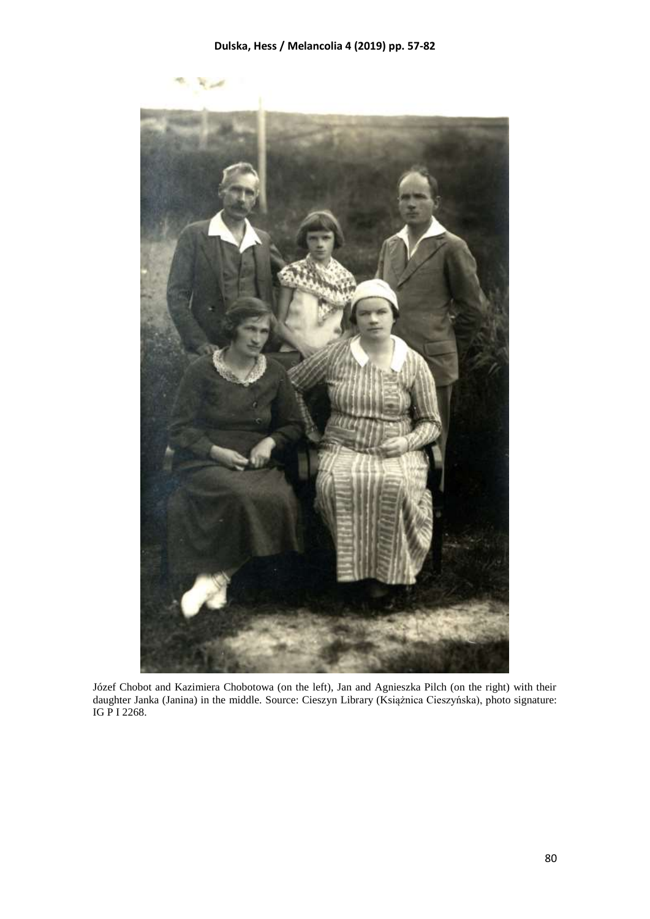

Józef Chobot and Kazimiera Chobotowa (on the left), Jan and Agnieszka Pilch (on the right) with their daughter Janka (Janina) in the middle. Source: Cieszyn Library (Książnica Cieszyńska), photo signature: IG P I 2268.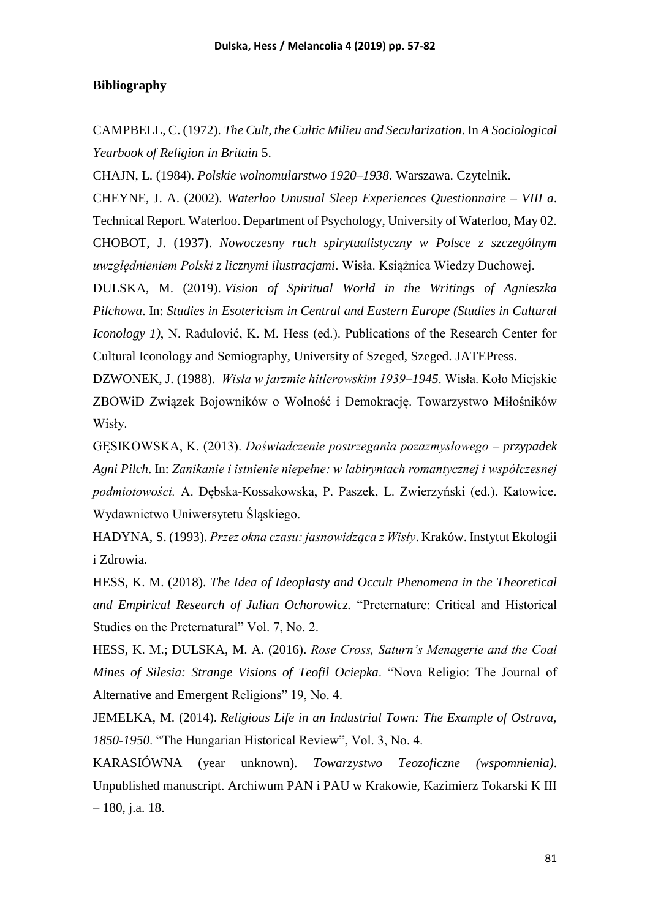### **Bibliography**

CAMPBELL, C. (1972). *The Cult, the Cultic Milieu and Secularization*. In *A Sociological Yearbook of Religion in Britain* 5.

CHAJN, L. (1984). *Polskie wolnomularstwo 1920–1938*. Warszawa. Czytelnik.

CHEYNE, J. A. (2002). *Waterloo Unusual Sleep Experiences Questionnaire – VIII a*. Technical Report. Waterloo. Department of Psychology, University of Waterloo, May 02. CHOBOT, J. (1937). *Nowoczesny ruch spirytualistyczny w Polsce z szczególnym uwzględnieniem Polski z licznymi ilustracjami*. Wisła. Książnica Wiedzy Duchowej.

DULSKA, M. (2019). *Vision of Spiritual World in the Writings of Agnieszka Pilchowa*. In: *Studies in Esotericism in Central and Eastern Europe (Studies in Cultural Iconology 1)*, N. Radulović, K. M. Hess (ed.). Publications of the Research Center for Cultural Iconology and Semiography, University of Szeged, Szeged. JATEPress.

DZWONEK, J. (1988). *Wisła w jarzmie hitlerowskim 1939–1945*. Wisła. Koło Miejskie ZBOWiD Związek Bojowników o Wolność i Demokrację. Towarzystwo Miłośników Wisły.

GĘSIKOWSKA, K. (2013). *Doświadczenie postrzegania pozazmysłowego – przypadek Agni Pilch*. In: *Zanikanie i istnienie niepełne: w labiryntach romantycznej i współczesnej podmiotowości.* A. Dębska-Kossakowska, P. Paszek, L. Zwierzyński (ed.). Katowice. Wydawnictwo Uniwersytetu Śląskiego.

HADYNA, S. (1993). *Przez okna czasu: jasnowidząca z Wisły*. Kraków. Instytut Ekologii i Zdrowia.

HESS, K. M. (2018). *The Idea of Ideoplasty and Occult Phenomena in the Theoretical and Empirical Research of Julian Ochorowicz.* "Preternature: Critical and Historical Studies on the Preternatural" Vol. 7, No. 2.

HESS, K. M.; DULSKA, M. A. (2016). *Rose Cross, Saturn's Menagerie and the Coal Mines of Silesia: Strange Visions of Teofil Ociepka*. "Nova Religio: The Journal of Alternative and Emergent Religions" 19, No. 4.

JEMELKA, M. (2014). *Religious Life in an Industrial Town: The Example of Ostrava, 1850-1950*. "The Hungarian Historical Review", Vol. 3, No. 4.

KARASIÓWNA (year unknown). *Towarzystwo Teozoficzne (wspomnienia)*. Unpublished manuscript. Archiwum PAN i PAU w Krakowie, Kazimierz Tokarski K III – 180, j.a. 18.